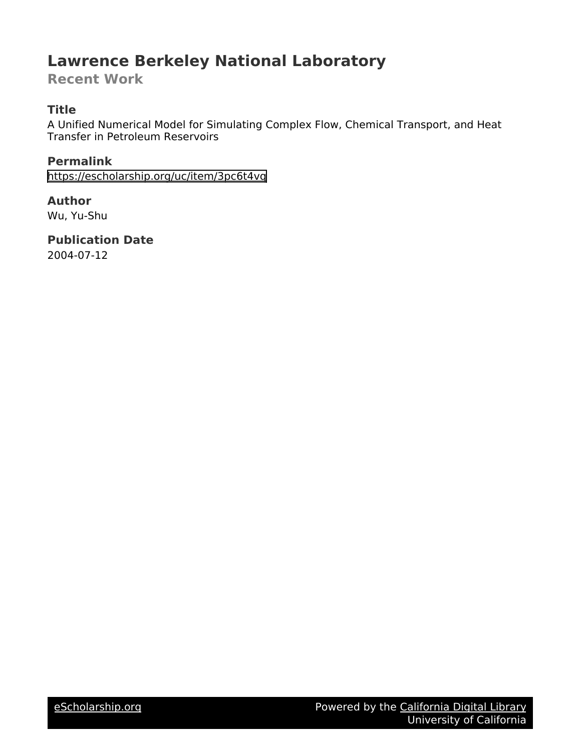## **Lawrence Berkeley National Laboratory**

**Recent Work**

## **Title**

A Unified Numerical Model for Simulating Complex Flow, Chemical Transport, and Heat Transfer in Petroleum Reservoirs

**Permalink** <https://escholarship.org/uc/item/3pc6t4vq>

**Author**

Wu, Yu-Shu

**Publication Date** 2004-07-12